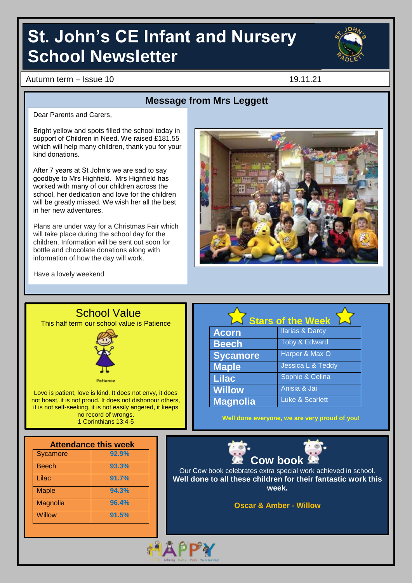# **St. John's CE Infant and Nursery School Newsletter**



Autumn term – Issue 10 19.11.21

## **Message from Mrs Leggett**

Dear Parents and Carers,

Bright yellow and spots filled the school today in support of Children in Need. We raised £181.55 which will help many children, thank you for your kind donations.

After 7 years at St John's we are sad to say goodbye to Mrs Highfield. Mrs Highfield has worked with many of our children across the school, her dedication and love for the children will be greatly missed. We wish her all the best in her new adventures.

Plans are under way for a Christmas Fair which will take place during the school day for the children. Information will be sent out soon for bottle and chocolate donations along with information of how the day will work.



Have a lovely weekend



1 Corinthians 13:4-5

**Stars of the Week Acorn** Ilarias & Darcy **Beech** Toby & Edward **Sycamore** Harper & Max O **Maple Jessica L & Teddy Lilac** Sophie & Celina **Willow** Anisia & Jai **Magnolia** Luke & Scarlett

**Well done everyone, we are very proud of you!**

| <b>Attendance this week</b> |       |  |
|-----------------------------|-------|--|
| Sycamore                    | 92.9% |  |
| <b>Beech</b>                | 93.3% |  |
| Lilac                       | 91.7% |  |
| <b>Maple</b>                | 94.3% |  |
| Magnolia                    | 96.4% |  |
| <b>Willow</b>               | 91.5% |  |
|                             |       |  |



Our Cow book celebrates extra special work achieved in school. **Well done to all these children for their fantastic work this week.**

**Oscar & Amber - Willow**

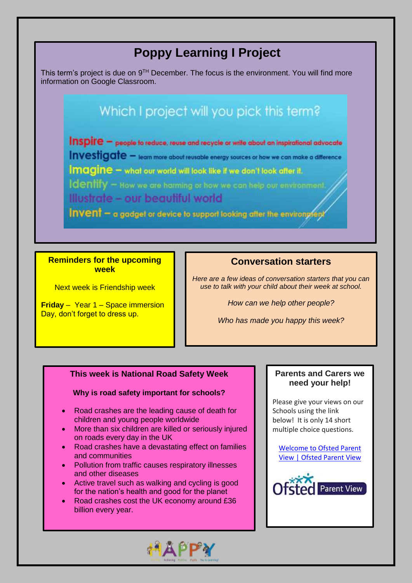# **Poppy Learning I Project**

This term's project is due on  $9<sup>TH</sup>$  December. The focus is the environment. You will find more information on Google Classroom.

# Which I project will you pick this term?

Inspire - people to reduce, reuse and recycle or write about an inspirational advocate Investigate - learn more about reusable energy sources or how we can make a difference Imagine - what our world will look like if we don't look after it. Identify - How we are harming or how we can help our environment. Illustrate - our beautiful world Invent - a gadget or device to support looking after the environgent

**Reminders for the upcoming week**

Next week is Friendship week

**Friday** – Year 1 – Space immersion Day, don't forget to dress up.

### **Conversation starters**

*Here are a few ideas of conversation starters that you can use to talk with your child about their week at school.*

*How can we help other people?*

*Who has made you happy this week?*

#### **This week is National Road Safety Week**

#### **Why is road safety important for schools?**

- Road crashes are the leading cause of death for children and young people worldwide
- More than six children are killed or seriously injured on roads every day in the UK
- Road crashes have a devastating effect on families and communities
- Pollution from traffic causes respiratory illnesses and other diseases
- Active travel such as walking and cycling is good for the nation's health and good for the planet
- Road crashes cost the UK economy around £36 billion every year.



#### **Parents and Carers we need your help!**

Please give your views on our Schools using the link below! It is only 14 short multiple choice questions.

[Welcome](https://parentview.ofsted.gov.uk/) to Ofsted Parent View | [Ofsted](https://parentview.ofsted.gov.uk/) Parent View